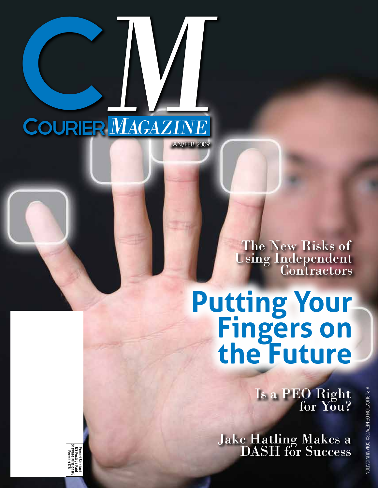

C

The New Risks of Using Independent Contractors

# **Putting Your<br>Fingers on the Future**

Is a PEO Right for You?

Jake Hatling Makes a DASH for Success

**Shawnee Mission KS** Presort Stan<br>US Postage<br>hawnee Miss **US Postage Paid Presort Standard Permit #178**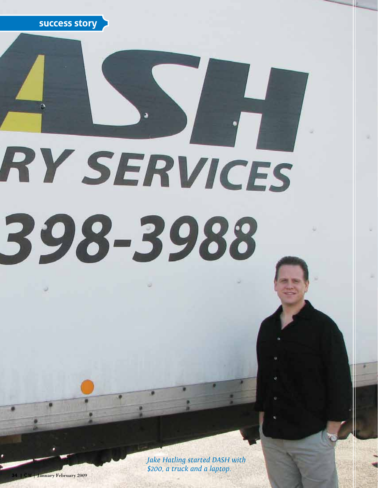

# RY SERVICES 398-3988

*Jake Hatling started DASH with \$200, a truck and a laptop.*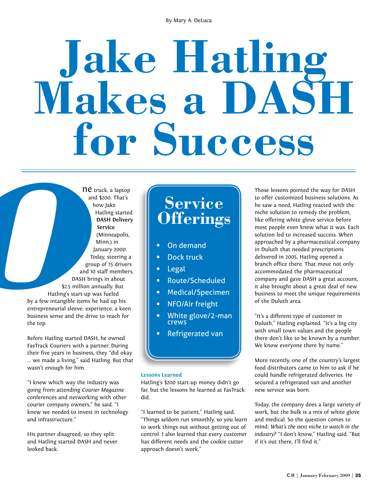By Mary A. DeLuca

# **Jake Hatling Makes a DASH for Success**

ne truck, a laptop and \$200. That's how Jake Hatling started **DASH Delivery Service** (Minneapolis, Minn.) in January 2000. Today, steering a group of 75 drivers and 10 staff members, DASH brings in about \$2.5 million annually. But Hatling's start-up was fueled by a few intangible items he had up his entrepreneurial sleeve: experience, a keen business sense and the drive to reach for the top.

Before Hatling started DASH, he owned FasTrack Couriers with a partner. During their five years in business, they "did okay … we made a living," said Hatling. But that wasn't enough for him.

"I knew which way the industry was going from attending *Courier Magazine* conferences and networking with other courier company owners," he said. "I knew we needed to invest in technology and infrastructure."

His partner disagreed; so they split and Hatling started DASH and never looked back.

## **Service Offerings**

- On demand
- Dock truck
- Legal
- Route/Scheduled
- Medical/Specimen
- NFO/Air freight
- White glove/2-man crews
- Refrigerated van

#### **Lessons Learned**

Hatling's \$200 start-up money didn't go far, but the lessons he learned at FasTrack did.

"I learned to be patient," Hatling said. "Things seldom run smoothly, so you learn to work things out without getting out of control. I also learned that every customer has different needs and the cookie cutter approach doesn't work."

Those lessons pointed the way for DASH to offer customized business solutions. As he saw a need, Hatling reacted with the niche solution to remedy the problem, like offering white glove service before most people even knew what it was. Each solution led to increased success. When approached by a pharmaceutical company in Duluth that needed prescriptions delivered in 2005, Hatling opened a branch office there. That move not only accommodated the pharmaceutical company and gave DASH a great account, it also brought about a great deal of new business to meet the unique requirements of the Duluth area.

"It's a different type of customer in Duluth," Hatling explained. "It's a big city with small town values and the people there don't like to be known by a number. We know everyone there by name."

More recently, one of the country's largest food distributors came to him to ask if he could handle refrigerated deliveries. He secured a refrigerated van and another new service was born.

Today, the company does a large variety of work, but the bulk is a mix of white glove and medical. So the question comes to mind: *What's the next niche to watch in the industry?* "I don't know," Hatling said. "But if it's out there, I'll find it."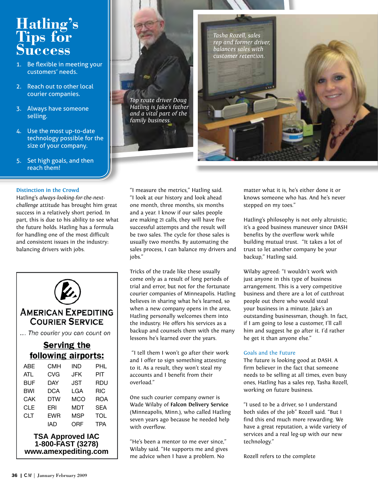### **Hatling's Tips for Success**

- 1. Be flexible in meeting your customers' needs.
- 2. Reach out to other local courier companies.
- 3. Always have someone selling.
- 4. Use the most up-to-date technology possible for the size of your company.
- 5. Set high goals, and then reach them!

#### **Distinction in the Crowd**

Hatling's *always-looking-for-the-nextchallenge* attitude has brought him great success in a relatively short period. In part, this is due to his ability to see what the future holds. Hatling has a formula for handling one of the most difficult and consistent issues in the industry: balancing drivers with jobs.



#### **AMERICAN EXPEDITING COURIER SERVICE**

... The courier you can count on

#### **Serving the** following airports:

| ABE        | CMH        | IND        | PHL        |
|------------|------------|------------|------------|
| ATL        | CVG        | JFK        | PIT        |
| <b>BUF</b> | <b>DAY</b> | <b>JST</b> | RDU        |
| <b>BWI</b> | <b>DCA</b> | LGA        | <b>RIC</b> |
| CAK        | DTW        | MCO        | <b>ROA</b> |
| CLE        | FRI        | MDT        | <b>SEA</b> |
| <b>CLT</b> | <b>EWR</b> | MSP        | <b>TOL</b> |
|            | IAD        | ORF        | <b>TPA</b> |

#### **TSA Approved IAC 1-800-FAST (3278) www.amexpediting.com**



"I measure the metrics," Hatling said. "I look at our history and look ahead one month, three months, six months and a year. I know if our sales people are making 21 calls, they will have five successful attempts and the result will be two sales. The cycle for those sales is usually two months. By automating the sales process, I can balance my drivers and jobs."

Tricks of the trade like these usually come only as a result of long periods of trial and error, but not for the fortunate courier companies of Minneapolis. Hatling believes in sharing what he's learned, so when a new company opens in the area, Hatling personally welcomes them into the industry. He offers his services as a backup and counsels them with the many lessons he's learned over the years.

 "I tell them I won't go after their work and I offer to sign something attesting to it. As a result, they won't steal my accounts and I benefit from their overload."

One such courier company owner is Wade Wilaby of **Falcon Delivery Service** (Minneapolis, Minn.), who called Hatling seven years ago because he needed help with overflow.

"He's been a mentor to me ever since," Wilaby said. "He supports me and gives me advice when I have a problem. No

matter what it is, he's either done it or knows someone who has. And he's never stepped on my toes."

Hatling's philosophy is not only altruistic; it's a good business maneuver since DASH benefits by the overflow work while building mutual trust. "It takes a lot of trust to let another company be your backup," Hatling said.

Wilaby agreed: "I wouldn't work with just anyone in this type of business arrangement. This is a very competitive business and there are a lot of cutthroat people out there who would steal your business in a minute. Jake's an outstanding businessman, though. In fact, if I am going to lose a customer, I'll call him and suggest he go after it. I'd rather he get it than anyone else."

#### Goals and the Future

The future is looking good at DASH. A firm believer in the fact that someone needs to be selling at all times, even busy ones, Hatling has a sales rep, Tasha Rozell, working on future business.

"I used to be a driver, so I understand both sides of the job" Rozell said. "But I find this end much more rewarding. We have a great reputation, a wide variety of services and a real leg-up with our new technology."

Rozell refers to the complete